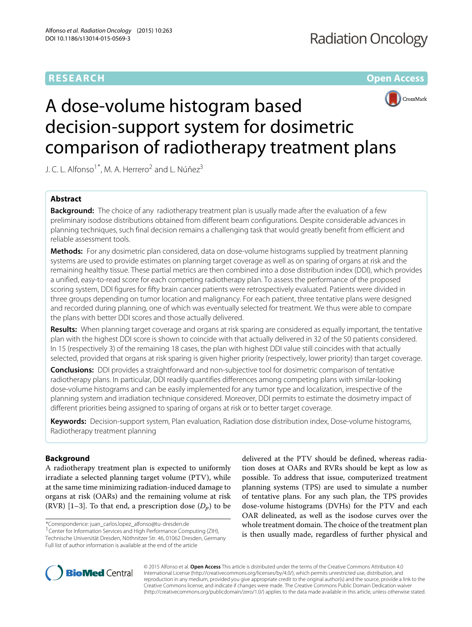# **RESEARCH Open Access**



# A dose-volume histogram based decision-support system for dosimetric comparison of radiotherapy treatment plans

J. C. L. Alfonso<sup>1\*</sup>, M. A. Herrero<sup>2</sup> and L. Núñez<sup>3</sup>

# **Abstract**

**Background:** The choice of any radiotherapy treatment plan is usually made after the evaluation of a few preliminary isodose distributions obtained from different beam configurations. Despite considerable advances in planning techniques, such final decision remains a challenging task that would greatly benefit from efficient and reliable assessment tools.

**Methods:** For any dosimetric plan considered, data on dose-volume histograms supplied by treatment planning systems are used to provide estimates on planning target coverage as well as on sparing of organs at risk and the remaining healthy tissue. These partial metrics are then combined into a dose distribution index (DDI), which provides a unified, easy-to-read score for each competing radiotherapy plan. To assess the performance of the proposed scoring system, DDI figures for fifty brain cancer patients were retrospectively evaluated. Patients were divided in three groups depending on tumor location and malignancy. For each patient, three tentative plans were designed and recorded during planning, one of which was eventually selected for treatment. We thus were able to compare the plans with better DDI scores and those actually delivered.

**Results:** When planning target coverage and organs at risk sparing are considered as equally important, the tentative plan with the highest DDI score is shown to coincide with that actually delivered in 32 of the 50 patients considered. In 15 (respectively 3) of the remaining 18 cases, the plan with highest DDI value still coincides with that actually selected, provided that organs at risk sparing is given higher priority (respectively, lower priority) than target coverage.

**Conclusions:** DDI provides a straightforward and non-subjective tool for dosimetric comparison of tentative radiotherapy plans. In particular, DDI readily quantifies differences among competing plans with similar-looking dose-volume histograms and can be easily implemented for any tumor type and localization, irrespective of the planning system and irradiation technique considered. Moreover, DDI permits to estimate the dosimetry impact of different priorities being assigned to sparing of organs at risk or to better target coverage.

**Keywords:** Decision-support system, Plan evaluation, Radiation dose distribution index, Dose-volume histograms, Radiotherapy treatment planning

# <span id="page-0-0"></span>**Background**

A radiotherapy treatment plan is expected to uniformly irradiate a selected planning target volume (PTV), while at the same time minimizing radiation-induced damage to organs at risk (OARs) and the remaining volume at risk (RVR) [\[1–](#page-7-0)[3\]](#page-7-1). To that end, a prescription dose  $(D_p)$  to be

\*Correspondence: [juan\\_carlos.lopez\\_alfonso@tu-dresden.de](mailto: juan_carlos.lopez_alfonso@tu-dresden.de)

<sup>1</sup> Center for Information Services and High Performance Computing (ZIH), Technische Universität Dresden, Nöthnitzer Str. 46, 01062 Dresden, Germany Full list of author information is available at the end of the article

delivered at the PTV should be defined, whereas radiation doses at OARs and RVRs should be kept as low as possible. To address that issue, computerized treatment planning systems (TPS) are used to simulate a number of tentative plans. For any such plan, the TPS provides dose-volume histograms (DVHs) for the PTV and each OAR delineated, as well as the isodose curves over the whole treatment domain. The choice of the treatment plan is then usually made, regardless of further physical and



© 2015 Alfonso et al. **Open Access** This article is distributed under the terms of the Creative Commons Attribution 4.0 International License [\(http://creativecommons.org/licenses/by/4.0/\)](http://creativecommons.org/licenses/by/4.0/), which permits unrestricted use, distribution, and reproduction in any medium, provided you give appropriate credit to the original author(s) and the source, provide a link to the Creative Commons license, and indicate if changes were made. The Creative Commons Public Domain Dedication waiver [\(http://creativecommons.org/publicdomain/zero/1.0/\)](http://creativecommons.org/publicdomain/zero/1.0/) applies to the data made available in this article, unless otherwise stated.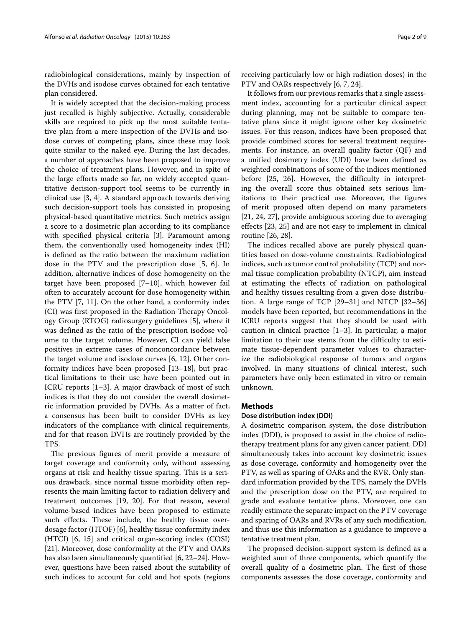radiobiological considerations, mainly by inspection of the DVHs and isodose curves obtained for each tentative plan considered.

It is widely accepted that the decision-making process just recalled is highly subjective. Actually, considerable skills are required to pick up the most suitable tentative plan from a mere inspection of the DVHs and isodose curves of competing plans, since these may look quite similar to the naked eye. During the last decades, a number of approaches have been proposed to improve the choice of treatment plans. However, and in spite of the large efforts made so far, no widely accepted quantitative decision-support tool seems to be currently in clinical use [\[3,](#page-7-1) [4\]](#page-8-0). A standard approach towards deriving such decision-support tools has consisted in proposing physical-based quantitative metrics. Such metrics assign a score to a dosimetric plan according to its compliance with specified physical criteria [\[3\]](#page-7-1). Paramount among them, the conventionally used homogeneity index (HI) is defined as the ratio between the maximum radiation dose in the PTV and the prescription dose [\[5,](#page-8-1) [6\]](#page-8-2). In addition, alternative indices of dose homogeneity on the target have been proposed [\[7](#page-8-3)[–10\]](#page-8-4), which however fail often to accurately account for dose homogeneity within the PTV [\[7,](#page-8-3) [11\]](#page-8-5). On the other hand, a conformity index (CI) was first proposed in the Radiation Therapy Oncology Group (RTOG) radiosurgery guidelines [\[5\]](#page-8-1), where it was defined as the ratio of the prescription isodose volume to the target volume. However, CI can yield false positives in extreme cases of nonconcordance between the target volume and isodose curves [\[6,](#page-8-2) [12\]](#page-8-6). Other conformity indices have been proposed [\[13–](#page-8-7)[18\]](#page-8-8), but practical limitations to their use have been pointed out in ICRU reports [\[1](#page-7-0)[–3\]](#page-7-1). A major drawback of most of such indices is that they do not consider the overall dosimetric information provided by DVHs. As a matter of fact, a consensus has been built to consider DVHs as key indicators of the compliance with clinical requirements, and for that reason DVHs are routinely provided by the TPS.

The previous figures of merit provide a measure of target coverage and conformity only, without assessing organs at risk and healthy tissue sparing. This is a serious drawback, since normal tissue morbidity often represents the main limiting factor to radiation delivery and treatment outcomes [\[19,](#page-8-9) [20\]](#page-8-10). For that reason, several volume-based indices have been proposed to estimate such effects. These include, the healthy tissue overdosage factor (HTOF) [\[6\]](#page-8-2), healthy tissue conformity index (HTCI) [\[6,](#page-8-2) [15\]](#page-8-11) and critical organ-scoring index (COSI) [\[21\]](#page-8-12). Moreover, dose conformality at the PTV and OARs has also been simultaneously quantified [\[6,](#page-8-2) [22](#page-8-13)[–24\]](#page-8-14). However, questions have been raised about the suitability of such indices to account for cold and hot spots (regions

receiving particularly low or high radiation doses) in the PTV and OARs respectively [\[6,](#page-8-2) [7,](#page-8-3) [24\]](#page-8-14).

It follows from our previous remarks that a single assessment index, accounting for a particular clinical aspect during planning, may not be suitable to compare tentative plans since it might ignore other key dosimetric issues. For this reason, indices have been proposed that provide combined scores for several treatment requirements. For instance, an overall quality factor (QF) and a unified dosimetry index (UDI) have been defined as weighted combinations of some of the indices mentioned before [\[25,](#page-8-15) [26\]](#page-8-16). However, the difficulty in interpreting the overall score thus obtained sets serious limitations to their practical use. Moreover, the figures of merit proposed often depend on many parameters [\[21,](#page-8-12) [24,](#page-8-14) [27\]](#page-8-17), provide ambiguous scoring due to averaging effects [\[23,](#page-8-18) [25\]](#page-8-15) and are not easy to implement in clinical routine [\[26,](#page-8-16) [28\]](#page-8-19).

The indices recalled above are purely physical quantities based on dose-volume constraints. Radiobiological indices, such as tumor control probability (TCP) and normal tissue complication probability (NTCP), aim instead at estimating the effects of radiation on pathological and healthy tissues resulting from a given dose distribution. A large range of TCP [\[29](#page-8-20)[–31\]](#page-8-21) and NTCP [\[32](#page-8-22)[–36\]](#page-8-23) models have been reported, but recommendations in the ICRU reports suggest that they should be used with caution in clinical practice [\[1–](#page-7-0)[3\]](#page-7-1). In particular, a major limitation to their use stems from the difficulty to estimate tissue-dependent parameter values to characterize the radiobiological response of tumors and organs involved. In many situations of clinical interest, such parameters have only been estimated in vitro or remain unknown.

# **Methods**

# **Dose distribution index (DDI)**

A dosimetric comparison system, the dose distribution index (DDI), is proposed to assist in the choice of radiotherapy treatment plans for any given cancer patient. DDI simultaneously takes into account key dosimetric issues as dose coverage, conformity and homogeneity over the PTV, as well as sparing of OARs and the RVR. Only standard information provided by the TPS, namely the DVHs and the prescription dose on the PTV, are required to grade and evaluate tentative plans. Moreover, one can readily estimate the separate impact on the PTV coverage and sparing of OARs and RVRs of any such modification, and thus use this information as a guidance to improve a tentative treatment plan.

The proposed decision-support system is defined as a weighted sum of three components, which quantify the overall quality of a dosimetric plan. The first of those components assesses the dose coverage, conformity and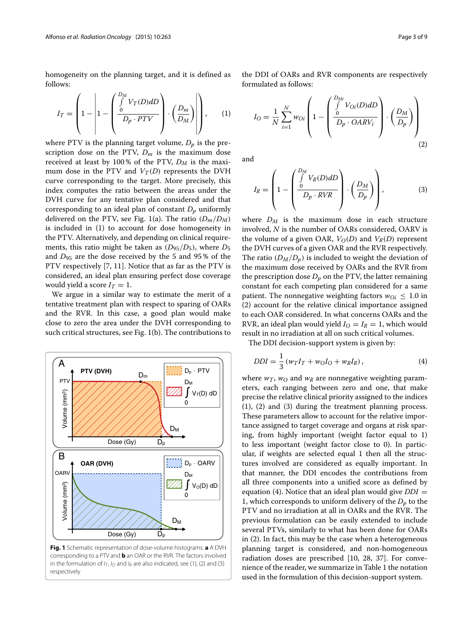$\overline{D}$ 

homogeneity on the planning target, and it is defined as follows:

<span id="page-2-2"></span>
$$
I_T = \left(1 - \left|1 - \left(\frac{\int_{0}^{D_M} V_T(D) dD}{D_p \cdot PTV}\right) \cdot \left(\frac{D_m}{D_M}\right)\right|\right), \quad (1)
$$

where PTV is the planning target volume,  $D_p$  is the prescription dose on the PTV,  $D_m$  is the maximum dose received at least by 100 % of the PTV, *DM* is the maximum dose in the PTV and  $V_T(D)$  represents the DVH curve corresponding to the target. More precisely, this index computes the ratio between the areas under the DVH curve for any tentative plan considered and that corresponding to an ideal plan of constant *Dp* uniformly delivered on the PTV, see Fig. [1](#page-2-0)[\(a\)](#page-2-1). The ratio (*Dm*/*DM*) is included in [\(1\)](#page-2-2) to account for dose homogeneity in the PTV. Alternatively, and depending on clinical requirements, this ratio might be taken as  $(D_{95}/D_5)$ , where  $D_5$ and *D*<sup>95</sup> are the dose received by the 5 and 95 % of the PTV respectively [\[7,](#page-8-3) [11\]](#page-8-5). Notice that as far as the PTV is considered, an ideal plan ensuring perfect dose coverage would yield a score  $I_T = 1$ .

We argue in a similar way to estimate the merit of a tentative treatment plan with respect to sparing of OARs and the RVR. In this case, a good plan would make close to zero the area under the DVH corresponding to such critical structures, see Fig. [1](#page-2-0)[\(b\)](#page-2-1). The contributions to

<span id="page-2-1"></span><span id="page-2-0"></span>

the DDI of OARs and RVR components are respectively formulated as follows:

<span id="page-2-3"></span>
$$
I_O = \frac{1}{N} \sum_{i=1}^{N} w_{Oi} \left( 1 - \left( \frac{\int_{0}^{D_{Mi}} V_{Oi}(D) dD}{D_p \cdot OARV_i} \right) \cdot \left( \frac{D_M}{D_p} \right) \right)
$$
\n(2)

<span id="page-2-4"></span>and

$$
I_R = \left(1 - \left(\frac{\int_0^{D_M} V_R(D) dD}{D_p \cdot RVR}\right) \cdot \left(\frac{D_M}{D_p}\right)\right),\tag{3}
$$

where *DM* is the maximum dose in each structure involved, *N* is the number of OARs considered, OARV is the volume of a given OAR,  $V_O(D)$  and  $V_R(D)$  represent the DVH curves of a given OAR and the RVR respectively. The ratio  $(D_M/D_p)$  is included to weight the deviation of the maximum dose received by OARs and the RVR from the prescription dose  $D_p$  on the PTV, the latter remaining constant for each competing plan considered for a same patient. The nonnegative weighting factors  $w_{0i} \leq 1.0$  in [\(2\)](#page-2-3) account for the relative clinical importance assigned to each OAR considered. In what concerns OARs and the RVR, an ideal plan would yield  $I_O = I_R = 1$ , which would result in no irradiation at all on such critical volumes.

The DDI decision-support system is given by:

<span id="page-2-5"></span>
$$
DDI = \frac{1}{3} (w_T I_T + w_O I_O + w_R I_R),
$$
\n(4)

where  $w_T$ ,  $w_O$  and  $w_R$  are nonnegative weighting parameters, each ranging between zero and one, that make precise the relative clinical priority assigned to the indices [\(1\)](#page-2-2), [\(2\)](#page-2-3) and [\(3\)](#page-2-4) during the treatment planning process. These parameters allow to account for the relative importance assigned to target coverage and organs at risk sparing, from highly important (weight factor equal to 1) to less important (weight factor close to 0). In particular, if weights are selected equal 1 then all the structures involved are considered as equally important. In that manner, the DDI encodes the contributions from all three components into a unified score as defined by equation [\(4\)](#page-2-5). Notice that an ideal plan would give *DDI* = 1, which corresponds to uniform delivery of the  $D_p$  to the PTV and no irradiation at all in OARs and the RVR. The previous formulation can be easily extended to include several PTVs, similarly to what has been done for OARs in [\(2\)](#page-2-3). In fact, this may be the case when a heterogeneous planning target is considered, and non-homogeneous radiation doses are prescribed [\[10,](#page-8-4) [28,](#page-8-19) [37\]](#page-8-24). For convenience of the reader, we summarize in Table [1](#page-3-0) the notation used in the formulation of this decision-support system.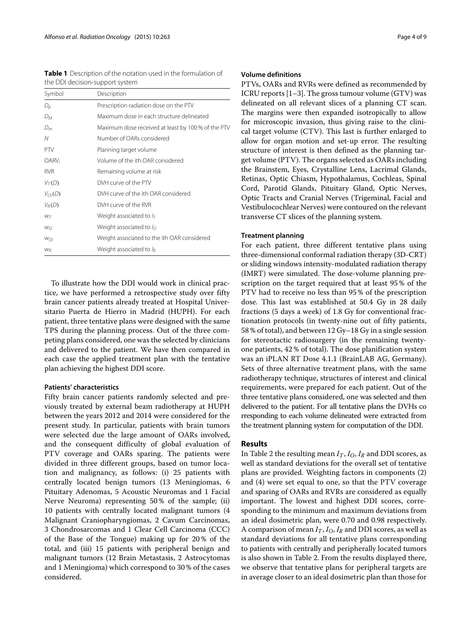<span id="page-3-0"></span>**Table 1** Description of the notation used in the formulation of the DDI decision-support system

| Symbol            | Description                                        |
|-------------------|----------------------------------------------------|
| $D_{D}$           | Prescription radiation dose on the PTV             |
| $D_M$             | Maximum dose in each structure delineated          |
| $D_m$             | Maximum dose received at least by 100 % of the PTV |
| N                 | Number of OARs considered                          |
| <b>PTV</b>        | Planning target volume                             |
| $OARV_i$          | Volume of the ith OAR considered                   |
| <b>RVR</b>        | Remaining volume at risk                           |
| $V_T(D)$          | DVH curve of the PTV                               |
| $V_{\Omega i}(D)$ | DVH curve of the ith OAR considered                |
| $V_R(D)$          | DVH curve of the RVR                               |
| WT                | Weight associated to $IT$                          |
| $W_{\bigcirc}$    | Weight associated to $I_{\Omega}$                  |
| $W_{Oi}$          | Weight associated to the ith OAR considered        |
| $W_R$             | Weight associated to $I_R$                         |

To illustrate how the DDI would work in clinical practice, we have performed a retrospective study over fifty brain cancer patients already treated at Hospital Universitario Puerta de Hierro in Madrid (HUPH). For each patient, three tentative plans were designed with the same TPS during the planning process. Out of the three competing plans considered, one was the selected by clinicians and delivered to the patient. We have then compared in each case the applied treatment plan with the tentative plan achieving the highest DDI score.

# **Patients' characteristics**

Fifty brain cancer patients randomly selected and previously treated by external beam radiotherapy at HUPH between the years 2012 and 2014 were considered for the present study. In particular, patients with brain tumors were selected due the large amount of OARs involved, and the consequent difficulty of global evaluation of PTV coverage and OARs sparing. The patients were divided in three different groups, based on tumor location and malignancy, as follows: (i) 25 patients with centrally located benign tumors (13 Meningiomas, 6 Pituitary Adenomas, 5 Acoustic Neuromas and 1 Facial Nerve Neuroma) representing 50 % of the sample; (ii) 10 patients with centrally located malignant tumors (4 Malignant Craniopharyngiomas, 2 Cavum Carcinomas, 3 Chondrosarcomas and 1 Clear Cell Carcinoma (CCC) of the Base of the Tongue) making up for 20 % of the total, and (iii) 15 patients with peripheral benign and malignant tumors (12 Brain Metastasis, 2 Astrocytomas and 1 Meningioma) which correspond to 30 % of the cases considered.

### **Volume definitions**

PTVs, OARs and RVRs were defined as recommended by ICRU reports [\[1–](#page-7-0)[3\]](#page-7-1). The gross tumour volume (GTV) was delineated on all relevant slices of a planning CT scan. The margins were then expanded isotropically to allow for microscopic invasion, thus giving raise to the clinical target volume (CTV). This last is further enlarged to allow for organ motion and set-up error. The resulting structure of interest is then defined as the planning target volume (PTV). The organs selected as OARs including the Brainstem, Eyes, Crystalline Lens, Lacrimal Glands, Retinas, Optic Chiasm, Hypothalamus, Cochleas, Spinal Cord, Parotid Glands, Pituitary Gland, Optic Nerves, Optic Tracts and Cranial Nerves (Trigeminal, Facial and Vestibulocochlear Nerves) were contoured on the relevant transverse CT slices of the planning system.

# **Treatment planning**

For each patient, three different tentative plans using three-dimensional conformal radiation therapy (3D-CRT) or sliding windows intensity-modulated radiation therapy (IMRT) were simulated. The dose-volume planning prescription on the target required that at least 95 % of the PTV had to receive no less than 95 % of the prescription dose. This last was established at 50.4 Gy in 28 daily fractions (5 days a week) of 1.8 Gy for conventional fractionation protocols (in twenty-nine out of fifty patients, 58 % of total), and between 12 Gy–18 Gy in a single session for stereotactic radiosurgery (in the remaining twentyone patients, 42 % of total). The dose planification system was an iPLAN RT Dose 4.1.1 (BrainLAB AG, Germany). Sets of three alternative treatment plans, with the same radiotherapy technique, structures of interest and clinical requirements, were prepared for each patient. Out of the three tentative plans considered, one was selected and then delivered to the patient. For all tentative plans the DVHs co rresponding to each volume delineated were extracted from the treatment planning system for computation of the DDI.

# **Results**

In Table [2](#page-4-0) the resulting mean  $I_T$ ,  $I_O$ ,  $I_R$  and DDI scores, as well as standard deviations for the overall set of tentative plans are provided. Weighting factors in components [\(2\)](#page-2-3) and [\(4\)](#page-2-5) were set equal to one, so that the PTV coverage and sparing of OARs and RVRs are considered as equally important. The lowest and highest DDI scores, corresponding to the minimum and maximum deviations from an ideal dosimetric plan, were 0.70 and 0.98 respectively. A comparison of mean  $I_T$ ,  $I_O$ ,  $I_R$  and DDI scores, as well as standard deviations for all tentative plans corresponding to patients with centrally and peripherally located tumors is also shown in Table [2.](#page-4-0) From the results displayed there, we observe that tentative plans for peripheral targets are in average closer to an ideal dosimetric plan than those for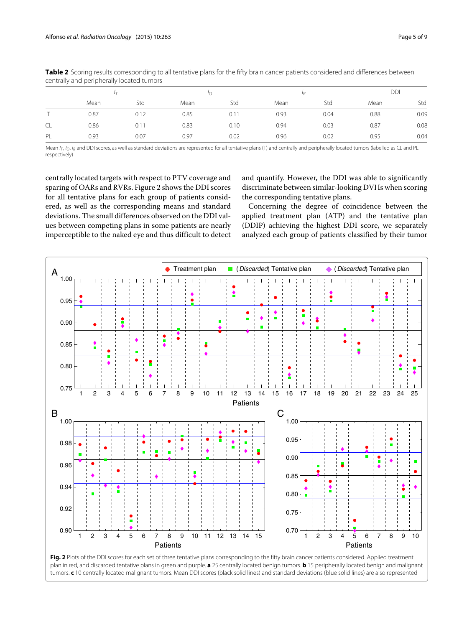|  |  | . ugi |
|--|--|-------|
|  |  |       |
|  |  |       |

|        |      |      | ΙO   |      |      |      | DDI  |      |
|--------|------|------|------|------|------|------|------|------|
|        | Mean | Std  | Mean | Std  | Mean | Std  | Mean | Std  |
|        | 0.87 | 0.12 | 0.85 | 0.11 | 0.93 | 0.04 | 0.88 | 0.09 |
| ⌒<br>ᅩ | 0.86 | 0.11 | 0.83 | 0.10 | 0.94 | 0.03 | 0.87 | 0.08 |
| PL     | 0.93 | 0.07 | 0.97 | 0.02 | 0.96 | 0.02 | 0.95 | 0.04 |

<span id="page-4-0"></span>Table 2 Scoring results corresponding to all tentative plans for the fifty brain cancer patients considered and differences between centrally and peripherally located tumors

Mean I<sub>T</sub>, I<sub>O</sub>, I<sub>R</sub> and DDI scores, as well as standard deviations are represented for all tentative plans (T) and centrally and peripherally located tumors (labelled as CL and PL respectively)

centrally located targets with respect to PTV coverage and sparing of OARs and RVRs. Figure [2](#page-4-1) shows the DDI scores for all tentative plans for each group of patients considered, as well as the corresponding means and standard deviations. The small differences observed on the DDI values between competing plans in some patients are nearly imperceptible to the naked eye and thus difficult to detect and quantify. However, the DDI was able to significantly discriminate between similar-looking DVHs when scoring the corresponding tentative plans.

Concerning the degree of coincidence between the applied treatment plan (ATP) and the tentative plan (DDIP) achieving the highest DDI score, we separately analyzed each group of patients classified by their tumor



<span id="page-4-1"></span>plan in red, and discarded tentative plans in green and purple. **a** 25 centrally located benign tumors. **b** 15 peripherally located benign and malignant tumors. **c** 10 centrally located malignant tumors. Mean DDI scores (black solid lines) and standard deviations (blue solid lines) are also represented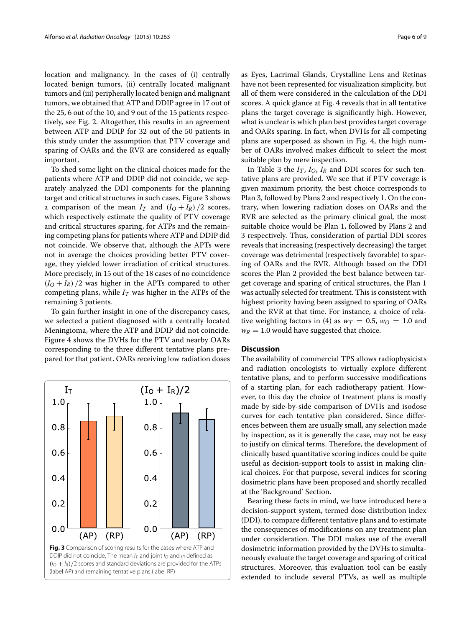location and malignancy. In the cases of (i) centrally located benign tumors, (ii) centrally located malignant tumors and (iii) peripherally located benign and malignant tumors, we obtained that ATP and DDIP agree in 17 out of the 25, 6 out of the 10, and 9 out of the 15 patients respectively, see Fig. [2.](#page-4-1) Altogether, this results in an agreement between ATP and DDIP for 32 out of the 50 patients in this study under the assumption that PTV coverage and sparing of OARs and the RVR are considered as equally important.

To shed some light on the clinical choices made for the patients where ATP and DDIP did not coincide, we separately analyzed the DDI components for the planning target and critical structures in such cases. Figure [3](#page-5-0) shows a comparison of the mean  $I_T$  and  $(I_O + I_R)/2$  scores, which respectively estimate the quality of PTV coverage and critical structures sparing, for ATPs and the remaining competing plans for patients where ATP and DDIP did not coincide. We observe that, although the APTs were not in average the choices providing better PTV coverage, they yielded lower irradiation of critical structures. More precisely, in 15 out of the 18 cases of no coincidence  $(I_0 + I_R)/2$  was higher in the APTs compared to other competing plans, while  $I_T$  was higher in the ATPs of the remaining 3 patients.

To gain further insight in one of the discrepancy cases, we selected a patient diagnosed with a centrally located Meningioma, where the ATP and DDIP did not coincide. Figure [4](#page-6-0) shows the DVHs for the PTV and nearby OARs corresponding to the three different tentative plans prepared for that patient. OARs receiving low radiation doses



as Eyes, Lacrimal Glands, Crystalline Lens and Retinas have not been represented for visualization simplicity, but all of them were considered in the calculation of the DDI scores. A quick glance at Fig. [4](#page-6-0) reveals that in all tentative plans the target coverage is significantly high. However, what is unclear is which plan best provides target coverage and OARs sparing. In fact, when DVHs for all competing plans are superposed as shown in Fig. [4,](#page-6-0) the high number of OARs involved makes difficult to select the most suitable plan by mere inspection.

In Table [3](#page-6-1) the  $I_T$ ,  $I_O$ ,  $I_R$  and DDI scores for such tentative plans are provided. We see that if PTV coverage is given maximum priority, the best choice corresponds to Plan 3, followed by Plans 2 and respectively 1. On the contrary, when lowering radiation doses on OARs and the RVR are selected as the primary clinical goal, the most suitable choice would be Plan 1, followed by Plans 2 and 3 respectively. Thus, consideration of partial DDI scores reveals that increasing (respectively decreasing) the target coverage was detrimental (respectively favorable) to sparing of OARs and the RVR. Although based on the DDI scores the Plan 2 provided the best balance between target coverage and sparing of critical structures, the Plan 1 was actually selected for treatment. This is consistent with highest priority having been assigned to sparing of OARs and the RVR at that time. For instance, a choice of rela-tive weighting factors in [\(4\)](#page-2-5) as  $w_T = 0.5$ ,  $w_O = 1.0$  and  $w_R = 1.0$  would have suggested that choice.

# **Discussion**

The availability of commercial TPS allows radiophysicists and radiation oncologists to virtually explore different tentative plans, and to perform successive modifications of a starting plan, for each radiotherapy patient. However, to this day the choice of treatment plans is mostly made by side-by-side comparison of DVHs and isodose curves for each tentative plan considered. Since differences between them are usually small, any selection made by inspection, as it is generally the case, may not be easy to justify on clinical terms. Therefore, the development of clinically based quantitative scoring indices could be quite useful as decision-support tools to assist in making clinical choices. For that purpose, several indices for scoring dosimetric plans have been proposed and shortly recalled at the ['Background'](#page-0-0) Section.

<span id="page-5-0"></span>Bearing these facts in mind, we have introduced here a decision-support system, termed dose distribution index (DDI), to compare different tentative plans and to estimate the consequences of modifications on any treatment plan under consideration. The DDI makes use of the overall dosimetric information provided by the DVHs to simultaneously evaluate the target coverage and sparing of critical structures. Moreover, this evaluation tool can be easily extended to include several PTVs, as well as multiple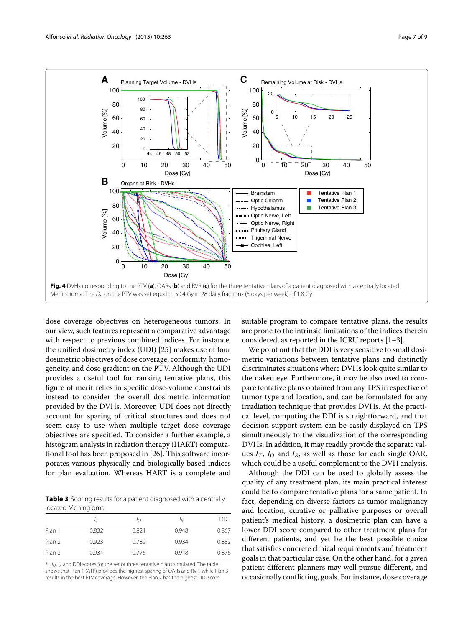

<span id="page-6-0"></span>dose coverage objectives on heterogeneous tumors. In our view, such features represent a comparative advantage with respect to previous combined indices. For instance, the unified dosimetry index (UDI) [\[25\]](#page-8-15) makes use of four dosimetric objectives of dose coverage, conformity, homogeneity, and dose gradient on the PTV. Although the UDI provides a useful tool for ranking tentative plans, this figure of merit relies in specific dose-volume constraints instead to consider the overall dosimetric information provided by the DVHs. Moreover, UDI does not directly account for sparing of critical structures and does not seem easy to use when multiple target dose coverage objectives are specified. To consider a further example, a histogram analysis in radiation therapy (HART) computational tool has been proposed in [\[26\]](#page-8-16). This software incorporates various physically and biologically based indices for plan evaluation. Whereas HART is a complete and

<span id="page-6-1"></span>**Table 3** Scoring results for a patient diagnosed with a centrally located Meningioma

|        |       | חו    | 'R    | DDI   |
|--------|-------|-------|-------|-------|
| Plan 1 | 0.832 | 0.821 | 0.948 | 0.867 |
| Plan 2 | 0.923 | 0.789 | 0.934 | 0.882 |
| Plan 3 | 0.934 | 0.776 | 0.918 | 0.876 |

 $I<sub>T</sub>, I<sub>O</sub>, I<sub>R</sub>$  and DDI scores for the set of three tentative plans simulated. The table shows that Plan 1 (ATP) provides the highest sparing of OARs and RVR, while Plan 3 results in the best PTV coverage. However, the Plan 2 has the highest DDI score

suitable program to compare tentative plans, the results are prone to the intrinsic limitations of the indices therein considered, as reported in the ICRU reports [\[1](#page-7-0)[–3\]](#page-7-1).

We point out that the DDI is very sensitive to small dosimetric variations between tentative plans and distinctly discriminates situations where DVHs look quite similar to the naked eye. Furthermore, it may be also used to compare tentative plans obtained from any TPS irrespective of tumor type and location, and can be formulated for any irradiation technique that provides DVHs. At the practical level, computing the DDI is straightforward, and that decision-support system can be easily displayed on TPS simultaneously to the visualization of the corresponding DVHs. In addition, it may readily provide the separate values *IT*, *IO* and *IR*, as well as those for each single OAR, which could be a useful complement to the DVH analysis.

Although the DDI can be used to globally assess the quality of any treatment plan, its main practical interest could be to compare tentative plans for a same patient. In fact, depending on diverse factors as tumor malignancy and location, curative or palliative purposes or overall patient's medical history, a dosimetric plan can have a lower DDI score compared to other treatment plans for different patients, and yet be the best possible choice that satisfies concrete clinical requirements and treatment goals in that particular case. On the other hand, for a given patient different planners may well pursue different, and occasionally conflicting, goals. For instance, dose coverage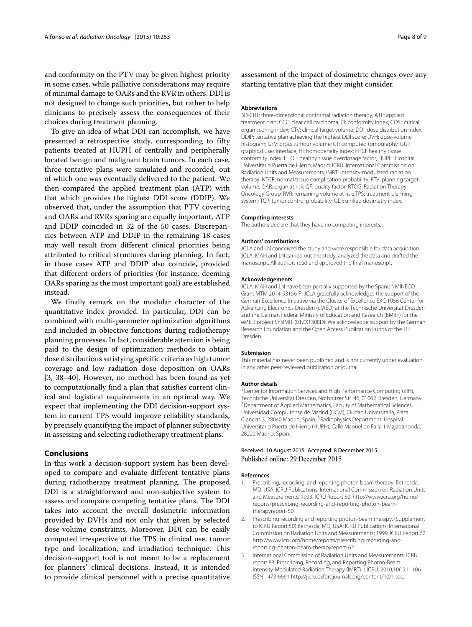and conformity on the PTV may be given highest priority in some cases, while palliative considerations may require of minimal damage to OARs and the RVR in others. DDI is not designed to change such priorities, but rather to help clinicians to precisely assess the consequences of their choices during treatment planning.

To give an idea of what DDI can accomplish, we have presented a retrospective study, corresponding to fifty patients treated at HUPH of centrally and peripherally located benign and malignant brain tumors. In each case, three tentative plans were simulated and recorded, out of which one was eventually delivered to the patient. We then compared the applied treatment plan (ATP) with that which provides the highest DDI score (DDIP). We observed that, under the assumption that PTV covering and OARs and RVRs sparing are equally important, ATP and DDIP coincided in 32 of the 50 cases. Discrepancies between ATP and DDIP in the remaining 18 cases may well result from different clinical priorities being attributed to critical structures during planning. In fact, in those cases ATP and DDIP also coincide, provided that different orders of priorities (for instance, deeming OARs sparing as the most important goal) are established instead.

We finally remark on the modular character of the quantitative index provided. In particular, DDI can be combined with multi-parameter optimization algorithms and included in objective functions during radiotherapy planning processes. In fact, considerable attention is being paid to the design of optimization methods to obtain dose distributions satisfying specific criteria as high tumor coverage and low radiation dose deposition on OARs [\[3,](#page-7-1) [38–](#page-8-25)[40\]](#page-8-26). However, no method has been found as yet to computationally find a plan that satisfies current clinical and logistical requirements in an optimal way. We expect that implementing the DDI decision-support system in current TPS would improve reliability standards, by precisely quantifying the impact of planner subjectivity in assessing and selecting radiotherapy treatment plans.

# **Conclusions**

In this work a decision-support system has been developed to compare and evaluate different tentative plans during radiotherapy treatment planning. The proposed DDI is a straightforward and non-subjective system to assess and compare competing tentative plans. The DDI takes into account the overall dosimetric information provided by DVHs and not only that given by selected dose-volume constraints. Moreover, DDI can be easily computed irrespective of the TPS in clinical use, tumor type and localization, and irradiation technique. This decision-support tool is not meant to be a replacement for planners' clinical decisions. Instead, it is intended to provide clinical personnel with a precise quantitative assessment of the impact of dosimetric changes over any starting tentative plan that they might consider.

### **Abbreviations**

3D-CRT: three-dimensional conformal radiation therapy; ATP: applied treatment plan; CCC: clear cell carcinoma; CI: conformity index; COSI: critical organ scoring index; CTV: clinical target volume; DDI: dose distribution index; DDIP: tentative plan achieving the highest DDI score; DVH: dose-volume histogram; GTV: gross tumour volume; CT: computed tomography; GUI: graphical user interface; HI: homogeneity index; HTCI: healthy tissue conformity index; HTOF: healthy tissue overdosage factor; HUPH: Hospital Universitario Puerta de Hierro, Madrid; ICRU: International Commission on Radiation Units and Measurements; IMRT: intensity-modulated radiation therapy; NTCP: normal tissue complication probability; PTV: planning target volume; OAR: organ at risk; QF: quality factor; RTOG: Radiation Therapy Oncology Group; RVR: remaining volume at risk; TPS: treatment planning system; TCP: tumor control probability; UDI: unified dosimetry index.

#### **Competing interests**

The authors declare that they have no competing interests.

#### **Authors' contributions**

JCLA and LN conceived the study and were responsible for data acquisition. JCLA, MAH and LN carried out the study, analyzed the data and drafted the manuscript. All authors read and approved the final manuscript.

#### **Acknowledgements**

JCLA, MAH and LN have been partially supported by the Spanish MINECO Grant MTM 2014-53156-P. JCLA gratefully acknowledges the support of the German Excellence Initiative via the Cluster of Excellence EXC 1056 Center for Advancing Electronics Dresden (cfAED) at the Technische Universität Dresden and the German Federal Ministry of Education and Research (BMBF) for the eMED project SYSIMIT (01ZX1308D). We acknowledge support by the German Research Foundation and the Open Access Publication Funds of the TU Dresden.

#### **Submission**

This material has never been published and is not currently under evaluation in any other peer-reviewed publication or journal.

#### **Author details**

<sup>1</sup> Center for Information Services and High Performance Computing (ZIH), Technische Universität Dresden, Nöthnitzer Str. 46, 01062 Dresden, Germany. <sup>2</sup> Department of Applied Mathematics, Faculty of Mathematical Sciences, Universidad Complutense de Madrid (UCM), Ciudad Universitaria, Plaza Ciencias 3, 28040 Madrid, Spain. 3Radiophysics Department, Hospital Universitario Puerta de Hierro (HUPH), Calle Manuel de Falla 1 Majadahonda, 28222 Madrid, Spain.

# Received: 10 August 2015 Accepted: 8 December 2015 Published online: 29 December 2015

#### **References**

- <span id="page-7-0"></span>Prescribing, recording, and reporting photon beam therapy. Bethesda, MD, USA: ICRU Publications; International Commission on Radiation Units and Measurements; 1993. ICRU Report 50. [http://www.icru.org/home/](http://www.icru.org/home/reports/prescribing-recording-and-reporting-photon-beam-therapyreport- 50) [reports/prescribing-recording-and-reporting-photon-beam](http://www.icru.org/home/reports/prescribing-recording-and-reporting-photon-beam-therapyreport- 50)[therapyreport-50.](http://www.icru.org/home/reports/prescribing-recording-and-reporting-photon-beam-therapyreport- 50)
- 2. Prescribing recording and reporting photon-beam therapy. (Supplement to ICRU Report 50) Bethesda, MD, USA: ICRU Publications; International Commission on Radiation Units and Measurements; 1999. ICRU Report 62. [http://www.icru.org/home/reports/prescribing-recording-and](http://www.icru.org/home/reports/prescribing-recording-and-reporting-photon-beam-therapyreport- 62)[reporting-photon-beam-therapyreport-62.](http://www.icru.org/home/reports/prescribing-recording-and-reporting-photon-beam-therapyreport- 62)
- <span id="page-7-1"></span>3. International Commission of Radiation Units and Measurements. ICRU report 83: Prescribing, Recording, and Reporting Photon-Beam Intensity-Modulated Radiation Therapy (IMRT). J ICRU. 2010;10(1):1–106. ISSN 1473-6691 [http://jicru.oxfordjournals.org/content/10/1.toc.](http://jicru.oxfordjournals.org/content/10/1.toc)